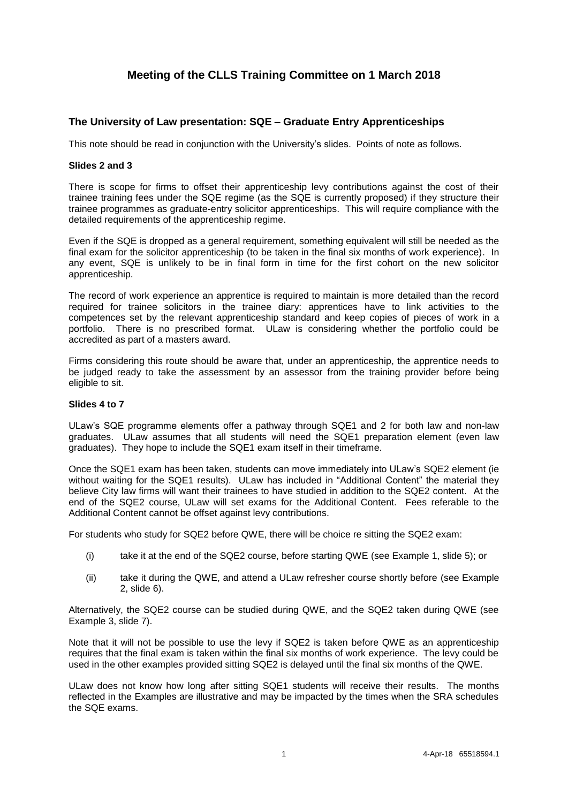# **Meeting of the CLLS Training Committee on 1 March 2018**

## **The University of Law presentation: SQE – Graduate Entry Apprenticeships**

This note should be read in conjunction with the University's slides. Points of note as follows.

#### **Slides 2 and 3**

There is scope for firms to offset their apprenticeship levy contributions against the cost of their trainee training fees under the SQE regime (as the SQE is currently proposed) if they structure their trainee programmes as graduate-entry solicitor apprenticeships. This will require compliance with the detailed requirements of the apprenticeship regime.

Even if the SQE is dropped as a general requirement, something equivalent will still be needed as the final exam for the solicitor apprenticeship (to be taken in the final six months of work experience). In any event, SQE is unlikely to be in final form in time for the first cohort on the new solicitor apprenticeship.

The record of work experience an apprentice is required to maintain is more detailed than the record required for trainee solicitors in the trainee diary: apprentices have to link activities to the competences set by the relevant apprenticeship standard and keep copies of pieces of work in a portfolio. There is no prescribed format. ULaw is considering whether the portfolio could be accredited as part of a masters award.

Firms considering this route should be aware that, under an apprenticeship, the apprentice needs to be judged ready to take the assessment by an assessor from the training provider before being eligible to sit.

#### **Slides 4 to 7**

ULaw's SQE programme elements offer a pathway through SQE1 and 2 for both law and non-law graduates. ULaw assumes that all students will need the SQE1 preparation element (even law graduates). They hope to include the SQE1 exam itself in their timeframe.

Once the SQE1 exam has been taken, students can move immediately into ULaw's SQE2 element (ie without waiting for the SQE1 results). ULaw has included in "Additional Content" the material they believe City law firms will want their trainees to have studied in addition to the SQE2 content. At the end of the SQE2 course, ULaw will set exams for the Additional Content. Fees referable to the Additional Content cannot be offset against levy contributions.

For students who study for SQE2 before QWE, there will be choice re sitting the SQE2 exam:

- (i) take it at the end of the SQE2 course, before starting QWE (see Example 1, slide 5); or
- (ii) take it during the QWE, and attend a ULaw refresher course shortly before (see Example 2, slide 6).

Alternatively, the SQE2 course can be studied during QWE, and the SQE2 taken during QWE (see Example 3, slide 7).

Note that it will not be possible to use the levy if SQE2 is taken before QWE as an apprenticeship requires that the final exam is taken within the final six months of work experience. The levy could be used in the other examples provided sitting SQE2 is delayed until the final six months of the QWE.

ULaw does not know how long after sitting SQE1 students will receive their results. The months reflected in the Examples are illustrative and may be impacted by the times when the SRA schedules the SQE exams.